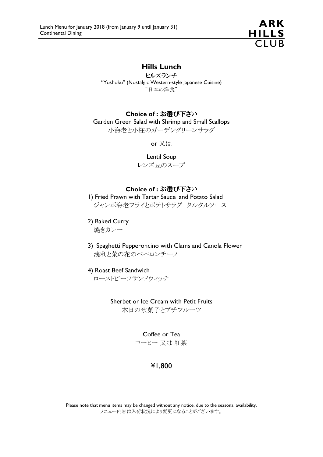

# Hills Lunch

ヒルズランチ "Yoshoku" (Nostalgic Western-style Japanese Cuisine) "日本の洋食"

#### Choice of : お選び下さい

Garden Green Salad with Shrimp and Small Scallops 小海老と小柱のガーデングリーンサラダ

or 又は

Lentil Soup

レンズ豆のスープ

#### Choice of : お選び下さい

1) Fried Prawn with Tartar Sauce and Potato Salad ジャンボ海老フライとポテトサラダ タルタルソース

2) Baked Curry

焼きカレー

3) Spaghetti Pepperoncino with Clams and Canola Flower 浅利と菜の花のペペロンチーノ

4) Roast Beef Sandwich

ローストビーフサンドウィッチ

Sherbet or Ice Cream with Petit Fruits 本日の氷菓子とプチフルーツ

Coffee or Tea

コーヒー 又は 紅茶

# ¥1,800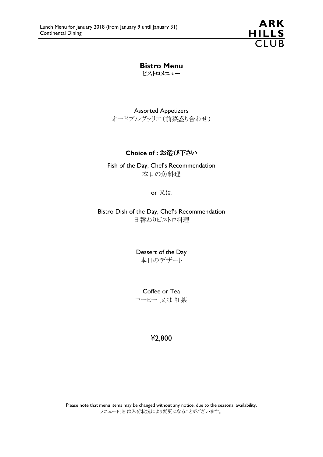**ARK** HILLS<br>CLUB

Bistro Menu ビストロメニュー

Assorted Appetizers オードブルヴァリエ(前菜盛り合わせ)

### Choice of : お選び下さい

Fish of the Day, Chef's Recommendation 本日の魚料理

or 又は

Bistro Dish of the Day, Chef's Recommendation 日替わりビストロ料理

> Dessert of the Day 本日のデザート

> Coffee or Tea コーヒー 又は 紅茶

> > ¥2,800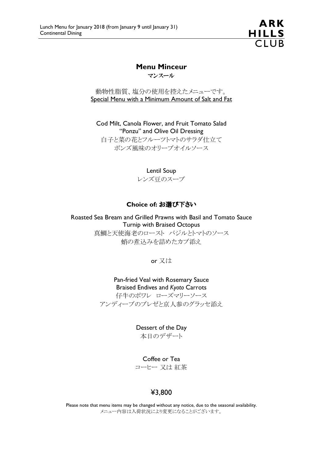ARK <u>HILLS</u>  $CIIIR$ 

# Menu Minceur

マンスール

動物性脂質、塩分の使用を控えたメニューです。 Special Menu with a Minimum Amount of Salt and Fat

Cod Milt, Canola Flower, and Fruit Tomato Salad "Ponzu" and Olive Oil Dressing 白子と菜の花とフルーツトマトのサラダ仕立て ポンズ風味のオリーブオイルソース

> Lentil Soup レンズ豆のスープ

#### Choice of: お選び下さい

Roasted Sea Bream and Grilled Prawns with Basil and Tomato Sauce Turnip with Braised Octopus 真鯛と天使海老のロースト バジルとトマトのソース 蛸の煮込みを詰めたカブ添え

or 又は

Pan-fried Veal with Rosemary Sauce Braised Endives and Kyoto Carrots 仔牛のポワレ ローズマリーソース アンディーブのブレゼと京人参のグラッセ添え

> Dessert of the Day 本日のデザート

> Coffee or Tea コーヒー 又は 紅茶

## ¥3,800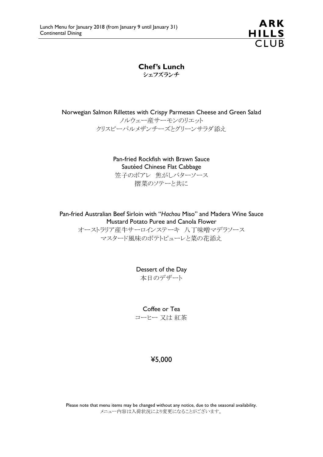**ARK** HILLS<br>CLUB

Chef's Lunch シェフズランチ

Norwegian Salmon Rillettes with Crispy Parmesan Cheese and Green Salad ノルウェー産サーモンのリエット

クリスピーパルメザンチーズとグリーンサラダ添え

Pan-fried Rockfish with Brawn Sauce Sautéed Chinese Flat Cabbage 笠子のポアレ 焦がしバターソース 摺菜のソテーと共に

Pan-fried Australian Beef Sirloin with "Hachou Miso" and Madera Wine Sauce Mustard Potato Puree and Canola Flower

オーストラリア産牛サーロインステーキ 八丁味噌マデラソース マスタード風味のポテトピューレと菜の花添え

> Dessert of the Day 本日のデザート

> Coffee or Tea コーヒー 又は 紅茶

# ¥5,000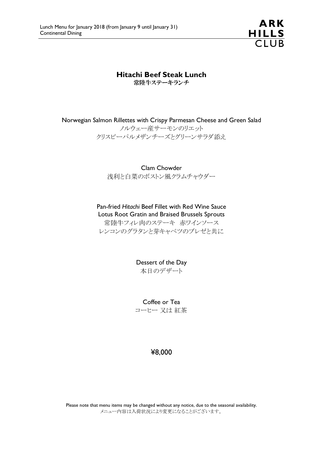

Hitachi Beef Steak Lunch

常陸牛ステーキランチ

Norwegian Salmon Rillettes with Crispy Parmesan Cheese and Green Salad

ノルウェー産サーモンのリエット クリスピーパルメザンチーズとグリーンサラダ添え

Clam Chowder 浅利と白菜のボストン風クラムチャウダー

Pan-fried Hitachi Beef Fillet with Red Wine Sauce Lotus Root Gratin and Braised Brussels Sprouts 常陸牛フィレ肉のステーキ 赤ワインソース レンコンのグラタンと芽キャベツのブレゼと共に

> Dessert of the Day 本日のデザート

> Coffee or Tea コーヒー 又は 紅茶

> > ¥8,000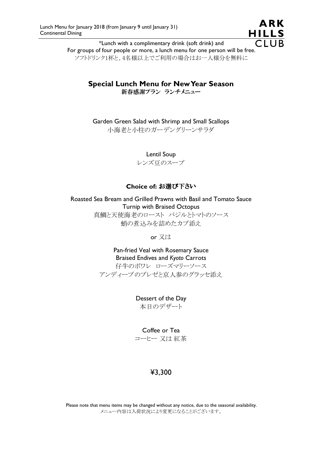ARK **HILLS**  $\overline{C}$ 

\*Lunch with a complimentary drink (soft drink) and For groups of four people or more, a lunch menu for one person will be free. ソフトドリンク1杯と、4名様以上でご利用の場合はお一人様分を無料に

## Special Lunch Menu for New Year Season 新春感謝プラン ランチメニュー

Garden Green Salad with Shrimp and Small Scallops 小海老と小柱のガーデングリーンサラダ

> Lentil Soup レンズ豆のスープ

## Choice of: お選び下さい

Roasted Sea Bream and Grilled Prawns with Basil and Tomato Sauce Turnip with Braised Octopus 真鯛と天使海老のロースト バジルとトマトのソース 蛸の煮込みを詰めたカブ添え

or 又は

Pan-fried Veal with Rosemary Sauce Braised Endives and Kyoto Carrots 仔牛のポワレ ローズマリーソース

アンディーブのブレゼと京人参のグラッセ添え

Dessert of the Day 本日のデザート

Coffee or Tea

コーヒー 又は 紅茶

# ¥3,300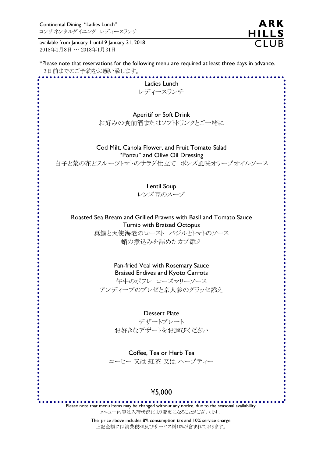Continental Dining "Ladies Lunch" コンチネンタルダイニング レディースランチ

available from January 1 until 9 January 31, 2018 2018年1月8日 ~ 2018年1月31日

**ARK** HILLS<br>CLUB

| *Please note that reservations for the following menu are required at least three days in advance.<br>3日前までのご予約をお願い致します。 |
|--------------------------------------------------------------------------------------------------------------------------|
| Ladies Lunch                                                                                                             |
| レディースランチ                                                                                                                 |
|                                                                                                                          |
|                                                                                                                          |
| Aperitif or Soft Drink                                                                                                   |
| お好みの食前酒またはソフトドリンクとご一緒に                                                                                                   |
|                                                                                                                          |
| Cod Milt, Canola Flower, and Fruit Tomato Salad                                                                          |
| "Ponzu" and Olive Oil Dressing                                                                                           |
| 白子と菜の花とフルーツトマトのサラダ仕立て ポンズ風味オリーブオイルソース                                                                                    |
|                                                                                                                          |
|                                                                                                                          |
| Lentil Soup                                                                                                              |
| レンズ豆のスープ                                                                                                                 |
|                                                                                                                          |
| Roasted Sea Bream and Grilled Prawns with Basil and Tomato Sauce                                                         |
| <b>Turnip with Braised Octopus</b>                                                                                       |
| 真鯛と天使海老のロースト バジルとトマトのソース                                                                                                 |
| 蛸の煮込みを詰めたカブ添え                                                                                                            |
|                                                                                                                          |
| Pan-fried Veal with Rosemary Sauce                                                                                       |
| <b>Braised Endives and Kyoto Carrots</b>                                                                                 |
| 仔牛のポワレ ローズマリーソース                                                                                                         |
| アンディーブのブレゼと京人参のグラッセ添え                                                                                                    |
|                                                                                                                          |
|                                                                                                                          |
| <b>Dessert Plate</b>                                                                                                     |
| デザートプレート                                                                                                                 |
| お好きなデザートをお選びください                                                                                                         |
|                                                                                                                          |
| Coffee, Tea or Herb Tea                                                                                                  |
| コーヒー 又は 紅茶 又は ハーブティー                                                                                                     |
|                                                                                                                          |
|                                                                                                                          |
| ¥5,000                                                                                                                   |
|                                                                                                                          |

メニュー内容は入荷状況により変更になることがございます。

 The price above includes 8% consumption tax and 10% service charge. 上記金額には消費税8%及びサービス料10%が含まれております。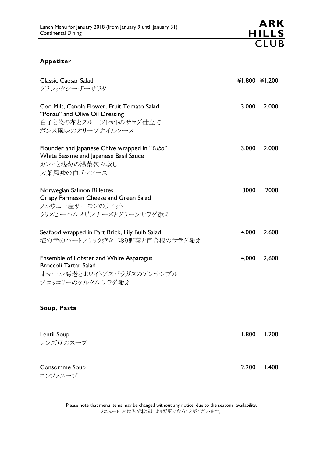### Appetizer

| <b>Classic Caesar Salad</b><br>クラシックシーザーサラダ                                                                                |       | ¥1,800 ¥1,200 |
|----------------------------------------------------------------------------------------------------------------------------|-------|---------------|
| Cod Milt, Canola Flower, Fruit Tomato Salad<br>"Ponzu" and Olive Oil Dressing<br>白子と菜の花とフルーツトマトのサラダ仕立て<br>ポンズ風味のオリーブオイルソース | 3,000 | 2,000         |
| Flounder and Japanese Chive wrapped in "Yuba"<br>White Sesame and Japanese Basil Sauce<br>カレイと浅葱の湯葉包み蒸し<br>大葉風味の白ゴマソース     | 3,000 | 2,000         |
| Norwegian Salmon Rillettes<br>Crispy Parmesan Cheese and Green Salad<br>ノルウェー産サーモンのリエット<br>クリスピーパルメザンチーズとグリーンサラダ添え         | 3000  | 2000          |
| Seafood wrapped in Part Brick, Lily Bulb Salad<br>海の幸のパートブリック焼き 彩り野菜と百合根のサラダ添え                                             | 4,000 | 2,600         |
| Ensemble of Lobster and White Asparagus<br><b>Broccoli Tartar Salad</b><br>オマール海老とホワイトアスパラガスのアンサンブル<br>ブロッコリーのタルタルサラダ添え    | 4,000 | 2,600         |
| Soup, Pasta                                                                                                                |       |               |
| Lentil Soup<br>レンズ豆のスープ                                                                                                    | 1,800 | 1,200         |

Consommé Soup 2,200 1,400 コンソメスープ